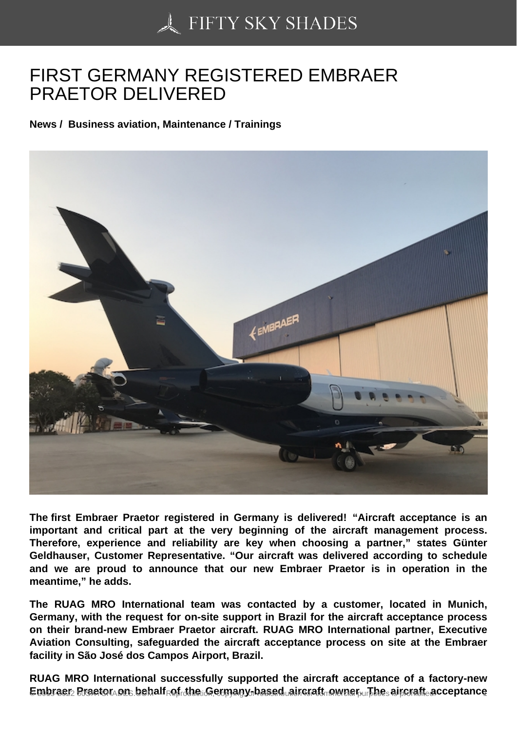## [FIRST GERMANY REG](https://50skyshades.com)ISTERED EMBRAER PRAETOR DELIVERED

News / Business aviation, Maintenance / Trainings

The first Embraer Praetor registered in Germany is delivered! "Aircraft acceptance is an important and critical part at the very beginning of the aircraft management process. Therefore, experience and reliability are key when choosing a partner," states Günter Geldhauser, Customer Representative. "Our aircraft was delivered according to schedule and we are proud to announce that our new Embraer Praetor is in operation in the meantime," he adds.

The RUAG MRO International team was contacted by a customer, located in Munich, Germany, with the request for on-site support in Brazil for the aircraft acceptance process on their brand-new Embraer Praetor aircraft. RUAG MRO International partner, Executive Aviation Consulting, safeguarded the aircraft acceptance process on site at the Embraer facility in São José dos Campos Airport, Brazil.

RUAG MRO International successfully supported the aircraft acceptance of a factory-new  $E$ mbraer  $P$ raetor on behalf of the Germany-based aircraft owner. The aircraft acceptance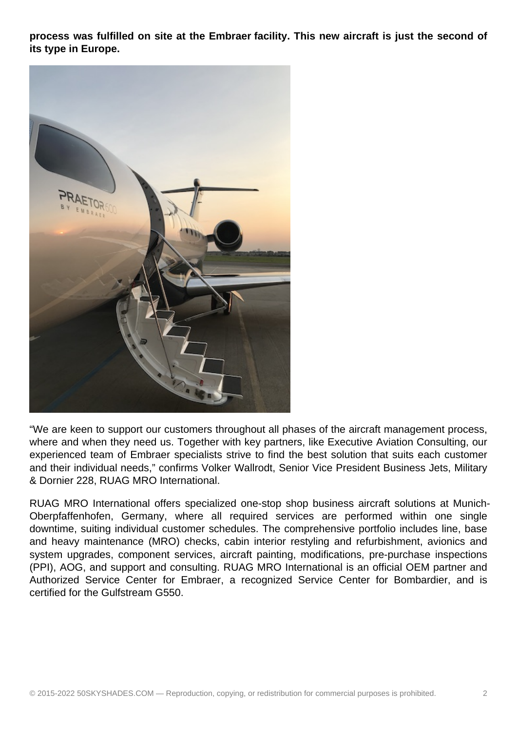**process was fulfilled on site at the Embraer facility. This new aircraft is just the second of its type in Europe.**



"We are keen to support our customers throughout all phases of the aircraft management process, where and when they need us. Together with key partners, like Executive Aviation Consulting, our experienced team of Embraer specialists strive to find the best solution that suits each customer and their individual needs," confirms Volker Wallrodt, Senior Vice President Business Jets, Military & Dornier 228, RUAG MRO International.

RUAG MRO International offers specialized one-stop shop business aircraft solutions at Munich-Oberpfaffenhofen, Germany, where all required services are performed within one single downtime, suiting individual customer schedules. The comprehensive portfolio includes line, base and heavy maintenance (MRO) checks, cabin interior restyling and refurbishment, avionics and system upgrades, component services, aircraft painting, modifications, pre-purchase inspections (PPI), AOG, and support and consulting. RUAG MRO International is an official OEM partner and Authorized Service Center for Embraer, a recognized Service Center for Bombardier, and is certified for the Gulfstream G550.